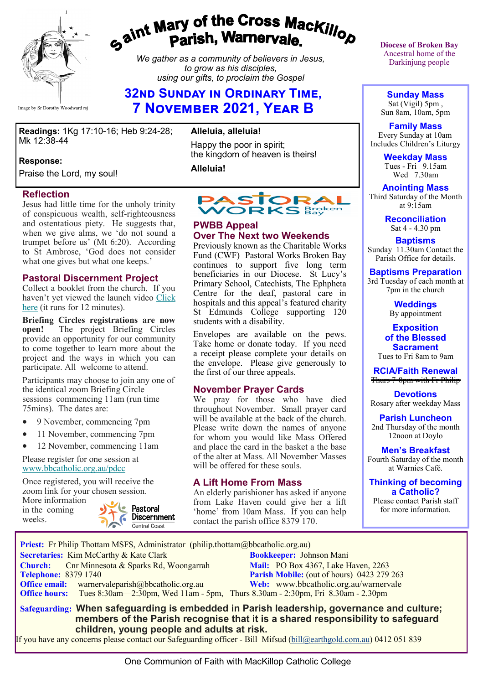

# gaint Mary of the Cross Mackillop<br>g<sup>aint</sup> Parish, Warnervale.

*We gather as a community of believers in Jesus, to grow as his disciples, using our gifts, to proclaim the Gospel*

# **32nd Sunday in Ordinary Time, 7 November 2021, Year B**

**Readings:** 1Kg 17:10-16; Heb 9:24-28; Mk 12:38-44

#### **Response:**

Praise the Lord, my soul!

#### **Reflection**

Jesus had little time for the unholy trinity of conspicuous wealth, self-righteousness and ostentatious piety. He suggests that, when we give alms, we 'do not sound a trumpet before us' (Mt 6:20). According to St Ambrose, 'God does not consider what one gives but what one keeps.'

#### **Pastoral Discernment Project**

Collect a booklet from the church. If you haven't yet viewed the launch video [Click](https://bbcatholic.us8.list-manage.com/track/click?u=466af249e088db70ab864d088&id=118a41b1cf&e=e312df0f80)  [here](https://bbcatholic.us8.list-manage.com/track/click?u=466af249e088db70ab864d088&id=118a41b1cf&e=e312df0f80) (it runs for 12 minutes).

**Briefing Circles registrations are now open!** The project Briefing Circles provide an opportunity for our community to come together to learn more about the project and the ways in which you can participate. All welcome to attend.

Participants may choose to join any one of the identical zoom Briefing Circle sessions commencing 11am (run time 75mins). The dates are:

- 9 November, commencing 7pm
- 11 November, commencing 7pm
- 12 November, commencing 11am

Please register for one session at [www.bbcatholic.org.au/pdcc](https://bbcatholic.us8.list-manage.com/track/click?u=466af249e088db70ab864d088&id=777e0a9585&e=e312df0f80)

Once registered, you will receive the zoom link for your chosen session.

More information in the coming weeks.



**Alleluia, alleluia!** Happy the poor in spirit; the kingdom of heaven is theirs!

**Alleluia!**



#### **PWBB Appeal Over The Next two Weekends**

Previously known as the Charitable Works Fund (CWF) Pastoral Works Broken Bay continues to support five long term beneficiaries in our Diocese. St Lucy's Primary School, Catechists, The Ephpheta Centre for the deaf, pastoral care in hospitals and this appeal's featured charity St Edmunds College supporting 120 students with a disability.

Envelopes are available on the pews. Take home or donate today. If you need a receipt please complete your details on the envelope. Please give generously to the first of our three appeals.

#### **November Prayer Cards**

We pray for those who have died throughout November. Small prayer card will be available at the back of the church. Please write down the names of anyone for whom you would like Mass Offered and place the card in the basket a the base of the alter at Mass. All November Masses will be offered for these souls.

#### **A Lift Home From Mass**

An elderly parishioner has asked if anyone from Lake Haven could give her a lift 'home' from 10am Mass. If you can help contact the parish office 8379 170.

**Diocese of Broken Bay**  Ancestral home of the Darkinjung people

**Sunday Mass** Sat (Vigil) 5pm , Sun 8am, 10am, 5pm

**Family Mass**  Every Sunday at 10am Includes Children's Liturgy

> **Weekday Mass** Tues - Fri 9.15am Wed 7.30am

**Anointing Mass** Third Saturday of the Month at 9:15am

> **Reconciliation** Sat 4 - 4.30 pm

**Baptisms** Sunday 11.30am Contact the Parish Office for details.

**Baptisms Preparation** 3rd Tuesday of each month at 7pm in the church

> **Weddings**  By appointment

**Exposition of the Blessed Sacrament** Tues to Fri 8am to 9am

**RCIA/Faith Renewal**  Thurs 7-8pm with Fr Philip

**Devotions** Rosary after weekday Mass

**Parish Luncheon** 2nd Thursday of the month 12noon at Doylo

**Men's Breakfast** Fourth Saturday of the month at Warnies Café.

**Thinking of becoming a Catholic?**

Please contact Parish staff for more information.

**Priest:** Fr Philip Thottam MSFS, Administrator (philip.thottam@bbcatholic.org.au)

**Secretaries:** Kim McCarthy & Kate Clark **Bookkeeper:** Johnson Mani

**Church:** Cnr Minnesota & Sparks Rd, Woongarrah **Mail: PO Box 4367, Lake Haven, 2263**<br> **Parish Mobile:** (out of hours) 0423 279 **Office email:** warnervaleparish@bbcatholic.org.au

**Parish Mobile:** (out of hours) 0423 279 263<br>Web: www.bbcatholic.org.au/warnervale **Office hours:** Tues 8:30am—2:30pm, Wed 11am - 5pm, Thurs 8.30am - 2:30pm, Fri 8.30am - 2.30pm

 **Safeguarding: When safeguarding is embedded in Parish leadership, governance and culture; members of the Parish recognise that it is a shared responsibility to safeguard children, young people and adults at risk.**

If you have any concerns please contact our Safeguarding officer - Bill Mifsud ([bill@earthgold.com.au\)](mailto:bill@earthgold.com.au) 0412 051 839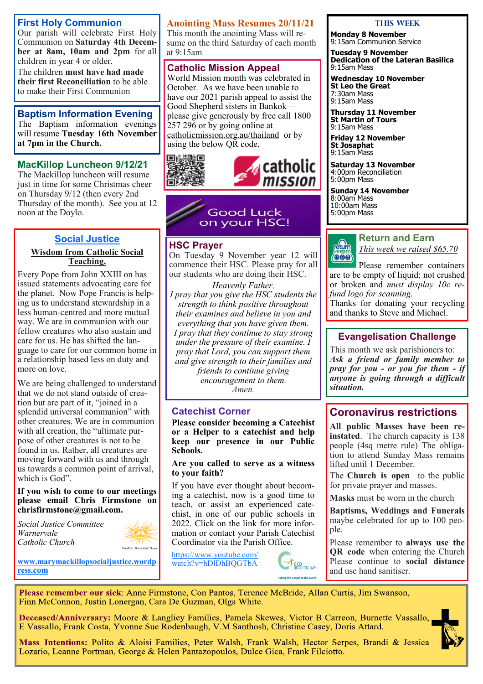#### **First Holy Communion**

Our parish will celebrate First Holy Communion on **Saturday 4th December at 8am, 10am and 2pm** for all children in year 4 or older. The children **must have had made** 

**their first Reconciliation** to be able to make their First Communion

#### **Baptism Information Evening**

The Baptism information evenings will resume **Tuesday 16th November at 7pm in the Church.** 

#### **MacKillop Luncheon 9/12/21**

The Mackillop luncheon will resume just in time for some Christmas cheer on Thursday 9/12 (then every 2nd Thursday of the month). See you at 12 noon at the Doylo.

#### **Social Justice**

#### **Wisdom from Catholic Social Teaching.**

Every Pope from John XXIII on has issued statements advocating care for the planet. Now Pope Francis is helping us to understand stewardship in a less human-centred and more mutual way. We are in communion with our fellow creatures who also sustain and care for us. He has shifted the language to care for our common home in a relationship based less on duty and more on love.

We are being challenged to understand that we do not stand outside of creation but are part of it, "joined in a splendid universal communion" with other creatures. We are in communion with all creation, the "ultimate purpose of other creatures is not to be found in us. Rather, all creatures are moving forward with us and through us towards a common point of arrival, which is God".

#### **If you wish to come to our meetings please email Chris Firmstone on chrisfirmstone@gmail.com.**

*Social Justice Committee Warnervale Catholic Church* 



**[www.marymackillopsocialjustice.wordp](http://www.marymackillopsocialjustice.wordpress.com) ress[.com](http://www.marymackillopsocialjustice.wordpress.com)**

#### **Anointing Mass Resumes 20/11/21**

This month the anointing Mass will resume on the third Saturday of each month at 9:15am

#### **Catholic Mission Appeal**

World Mission month was celebrated in October. As we have been unable to have our 2021 parish appeal to assist the Good Shepherd sisters in Bankok please give generously by free call 1800 257 296 or by going online at catholicmission.org.au/thailand or by using the below QR code,







#### **HSC Prayer**

On Tuesday 9 November year 12 will commence their HSC. Please pray for all our students who are doing their HSC.

*Heavenly Father, I pray that you give the HSC students the strength to think positive throughout their examines and believe in you and everything that you have given them. I pray that they continue to stay strong under the pressure of their examine. I pray that Lord, you can support them and give strength to their families and friends to continue giving encouragement to them.*

*Amen.*

#### **Catechist Corner**

**Please consider becoming a Catechist or a Helper to a catechist and help keep our presence in our Public Schools.**

**Are you called to serve as a witness to your faith?**

If you have ever thought about becoming a catechist, now is a good time to teach, or assist an experienced catechist, in one of our public schools in 2022. Click on the link for more information or contact your Parish Catechist Coordinator via the Parish Office.

**CCD**<br>BROKEN BAY

[https://www.youtube.com/](https://www.youtube.com/watch?v=hDlDhBQGTbA) [watch?v=hDlDhBQGTbA](https://www.youtube.com/watch?v=hDlDhBQGTbA)

#### **Monday 8 November** 9:15am Communion Service

**Tuesday 9 November Dedication of the Lateran Basilica** 9:15am Mass

**This Week**

**Wednesday 10 November St Leo the Great**

7:30am Mass 9:15am Mass

**Thursday 11 November St Martin of Tours** 9:15am Mass

**Friday 12 November St Josaphat** 9:15am Mass

**Saturday 13 November** 4:00pm Reconciliation 5:00pm Mass

**Sunday 14 November** 8:00am Mass 10:00am Mass 5:00pm Mass



**Return and Earn** 

*This week we raised \$65.70*

Please remember containers are to be empty of liquid; not crushed or broken and *must display 10c refund logo for scanning.*

Thanks for donating your recycling and thanks to Steve and Michael.

#### **Evangelisation Challenge**

This month we ask parishioners to: *Ask a friend or family member to pray for you - or you for them - if anyone is going through a difficult situation.*

## **Coronavirus restrictions**

**All public Masses have been reinstated**. The church capacity is 138 people (4sq metre rule) The obligation to attend Sunday Mass remains lifted until 1 December.

The **Church is open** to the public for private prayer and masses.

**Masks** must be worn in the church

**Baptisms, Weddings and Funerals**  maybe celebrated for up to 100 people.

Please remember to **always use the QR code** when entering the Church Please continue to **social distance** and use hand sanitiser.

Please remember our sick: Anne Firmstone, Con Pantos, Terence McBride, Allan Curtis, Jim Swanson, Finn McConnon, Justin Lonergan, Cara De Guzman, Olga White.

Deceased/Anniversary: Moore & Langliey Families, Pamela Skewes, Victor B Carreon, Burnette Vassallo, E Vassallo, Frank Costa, Yvonne Sue Rodenbaugh, V.M Santhosh, Christine Casey, Doris Attard.

Mass Intentions: Polito & Aloisi Families, Peter Walsh, Frank Walsh, Hector Serpes, Brandi & Jessica Lozario, Leanne Portman, George & Helen Pantazopoulos, Dulce Gica, Frank Filciotto.

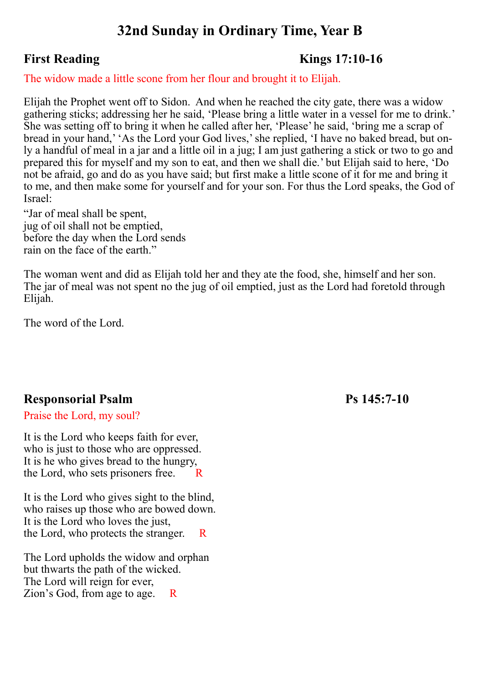# **32nd Sunday in Ordinary Time, Year B**

# **First Reading Kings 17:10-16**

# The widow made a little scone from her flour and brought it to Elijah.

Elijah the Prophet went off to Sidon. And when he reached the city gate, there was a widow gathering sticks; addressing her he said, 'Please bring a little water in a vessel for me to drink.' She was setting off to bring it when he called after her, 'Please' he said, 'bring me a scrap of bread in your hand,' 'As the Lord your God lives,' she replied, 'I have no baked bread, but only a handful of meal in a jar and a little oil in a jug; I am just gathering a stick or two to go and prepared this for myself and my son to eat, and then we shall die.' but Elijah said to here, 'Do not be afraid, go and do as you have said; but first make a little scone of it for me and bring it to me, and then make some for yourself and for your son. For thus the Lord speaks, the God of Israel:

"Jar of meal shall be spent, jug of oil shall not be emptied, before the day when the Lord sends rain on the face of the earth."

The woman went and did as Elijah told her and they ate the food, she, himself and her son. The jar of meal was not spent no the jug of oil emptied, just as the Lord had foretold through Elijah.

The word of the Lord.

# **Responsorial Psalm Ps 145:7-10**

## Praise the Lord, my soul?

It is the Lord who keeps faith for ever, who is just to those who are oppressed. It is he who gives bread to the hungry, the Lord, who sets prisoners free.  $R$ 

It is the Lord who gives sight to the blind, who raises up those who are bowed down. It is the Lord who loves the just, the Lord, who protects the stranger. R

The Lord upholds the widow and orphan but thwarts the path of the wicked. The Lord will reign for ever, Zion's God, from age to age. R